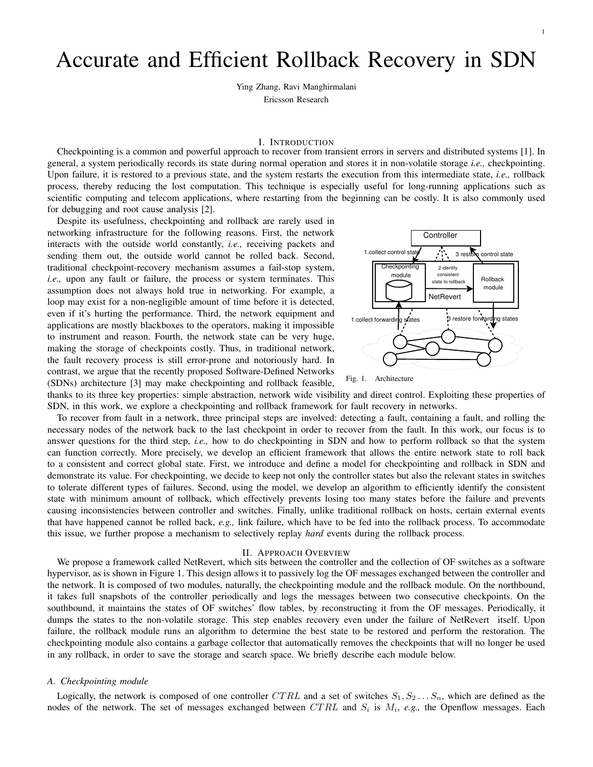# Accurate and Efficient Rollback Recovery in SDN

Ying Zhang, Ravi Manghirmalani Ericsson Research

# I. INTRODUCTION

Checkpointing is a common and powerful approach to recover from transient errors in servers and distributed systems [1]. In general, a system periodically records its state during normal operation and stores it in non-volatile storage *i.e.,* checkpointing. Upon failure, it is restored to a previous state, and the system restarts the execution from this intermediate state, *i.e.,* rollback process, thereby reducing the lost computation. This technique is especially useful for long-running applications such as scientific computing and telecom applications, where restarting from the beginning can be costly. It is also commonly used for debugging and root cause analysis [2].

Despite its usefulness, checkpointing and rollback are rarely used in networking infrastructure for the following reasons. First, the network interacts with the outside world constantly, *i.e.,* receiving packets and sending them out, the outside world cannot be rolled back. Second, traditional checkpoint-recovery mechanism assumes a fail-stop system, *i.e.,* upon any fault or failure, the process or system terminates. This assumption does not always hold true in networking. For example, a loop may exist for a non-negligible amount of time before it is detected, even if it's hurting the performance. Third, the network equipment and applications are mostly blackboxes to the operators, making it impossible to instrument and reason. Fourth, the network state can be very huge, making the storage of checkpoints costly. Thus, in traditional network, the fault recovery process is still error-prone and notoriously hard. In contrast, we argue that the recently proposed Software-Defined Networks (SDNs) architecture [3] may make checkpointing and rollback feasible,



1



thanks to its three key properties: simple abstraction, network wide visibility and direct control. Exploiting these properties of SDN, in this work, we explore a checkpointing and rollback framework for fault recovery in networks.

To recover from fault in a network, three principal steps are involved: detecting a fault, containing a fault, and rolling the necessary nodes of the network back to the last checkpoint in order to recover from the fault. In this work, our focus is to answer questions for the third step, *i.e.,* how to do checkpointing in SDN and how to perform rollback so that the system can function correctly. More precisely, we develop an efficient framework that allows the entire network state to roll back to a consistent and correct global state. First, we introduce and define a model for checkpointing and rollback in SDN and demonstrate its value. For checkpointing, we decide to keep not only the controller states but also the relevant states in switches to tolerate different types of failures. Second, using the model, we develop an algorithm to efficiently identify the consistent state with minimum amount of rollback, which effectively prevents losing too many states before the failure and prevents causing inconsistencies between controller and switches. Finally, unlike traditional rollback on hosts, certain external events that have happened cannot be rolled back, *e.g.,* link failure, which have to be fed into the rollback process. To accommodate this issue, we further propose a mechanism to selectively replay *hard* events during the rollback process.

### II. APPROACH OVERVIEW

We propose a framework called NetRevert, which sits between the controller and the collection of OF switches as a software hypervisor, as is shown in Figure 1. This design allows it to passively log the OF messages exchanged between the controller and the network. It is composed of two modules, naturally, the checkpointing module and the rollback module. On the northbound, it takes full snapshots of the controller periodically and logs the messages between two consecutive checkpoints. On the southbound, it maintains the states of OF switches' flow tables, by reconstructing it from the OF messages. Periodically, it dumps the states to the non-volatile storage. This step enables recovery even under the failure of NetRevert itself. Upon failure, the rollback module runs an algorithm to determine the best state to be restored and perform the restoration. The checkpointing module also contains a garbage collector that automatically removes the checkpoints that will no longer be used in any rollback, in order to save the storage and search space. We briefly describe each module below.

# *A. Checkpointing module*

Logically, the network is composed of one controller CTRL and a set of switches  $S_1, S_2 \ldots S_n$ , which are defined as the nodes of the network. The set of messages exchanged between  $CTRL$  and  $S_i$  is  $M_i$ , e.g., the Openflow messages. Each